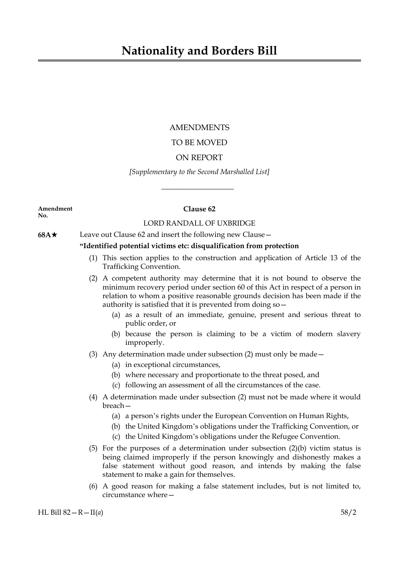# AMENDMENTS

# TO BE MOVED

# ON REPORT

## *[Supplementary to the Second Marshalled List]*

 $\overline{\phantom{a}}$  , where  $\overline{\phantom{a}}$ 

**Amendment Clause 62 No.**

# LORD RANDALL OF UXBRIDGE

**68A**★ Leave out Clause 62 and insert the following new Clause —

# **"Identified potential victims etc: disqualification from protection**

- (1) This section applies to the construction and application of Article 13 of the Trafficking Convention.
- (2) A competent authority may determine that it is not bound to observe the minimum recovery period under section 60 of this Act in respect of a person in relation to whom a positive reasonable grounds decision has been made if the authority is satisfied that it is prevented from doing so—
	- (a) as a result of an immediate, genuine, present and serious threat to public order, or
	- (b) because the person is claiming to be a victim of modern slavery improperly.
- (3) Any determination made under subsection (2) must only be made—
	- (a) in exceptional circumstances,
	- (b) where necessary and proportionate to the threat posed, and
	- (c) following an assessment of all the circumstances of the case.
- (4) A determination made under subsection (2) must not be made where it would breach—
	- (a) a person's rights under the European Convention on Human Rights,
	- (b) the United Kingdom's obligations under the Trafficking Convention, or
	- (c) the United Kingdom's obligations under the Refugee Convention.
- (5) For the purposes of a determination under subsection (2)(b) victim status is being claimed improperly if the person knowingly and dishonestly makes a false statement without good reason, and intends by making the false statement to make a gain for themselves.
- (6) A good reason for making a false statement includes, but is not limited to, circumstance where—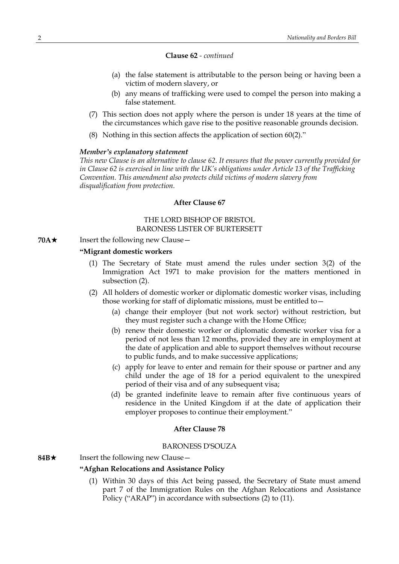#### **Clause 62** *- continued*

- (a) the false statement is attributable to the person being or having been a victim of modern slavery, or
- (b) any means of trafficking were used to compel the person into making a false statement.
- (7) This section does not apply where the person is under 18 years at the time of the circumstances which gave rise to the positive reasonable grounds decision.
- (8) Nothing in this section affects the application of section 60(2)."

#### *Member's explanatory statement*

*This new Clause is an alternative to clause 62. It ensures that the power currently provided for in Clause 62 is exercised in line with the UK's obligations under Article 13 of the Trafficking Convention. This amendment also protects child victims of modern slavery from disqualification from protection.*

#### **After Clause 67**

### THE LORD BISHOP OF BRISTOL BARONESS LISTER OF BURTERSETT

**70A**★ Insert the following new Clause —

#### **"Migrant domestic workers**

- (1) The Secretary of State must amend the rules under section 3(2) of the Immigration Act 1971 to make provision for the matters mentioned in subsection (2).
- (2) All holders of domestic worker or diplomatic domestic worker visas, including those working for staff of diplomatic missions, must be entitled to—
	- (a) change their employer (but not work sector) without restriction, but they must register such a change with the Home Office;
	- (b) renew their domestic worker or diplomatic domestic worker visa for a period of not less than 12 months, provided they are in employment at the date of application and able to support themselves without recourse to public funds, and to make successive applications;
	- (c) apply for leave to enter and remain for their spouse or partner and any child under the age of 18 for a period equivalent to the unexpired period of their visa and of any subsequent visa;
	- (d) be granted indefinite leave to remain after five continuous years of residence in the United Kingdom if at the date of application their employer proposes to continue their employment."

#### **After Clause 78**

#### BARONESS D'SOUZA

**84B**★ Insert the following new Clause —

#### **"Afghan Relocations and Assistance Policy**

(1) Within 30 days of this Act being passed, the Secretary of State must amend part 7 of the Immigration Rules on the Afghan Relocations and Assistance Policy ("ARAP") in accordance with subsections (2) to (11).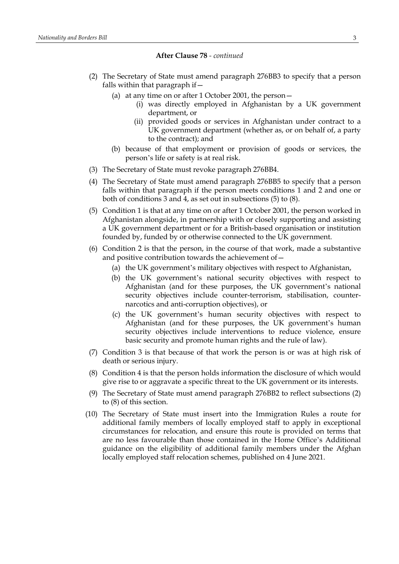#### **After Clause 78** *- continued*

- (2) The Secretary of State must amend paragraph 276BB3 to specify that a person falls within that paragraph if—
	- (a) at any time on or after 1 October 2001, the person—
		- (i) was directly employed in Afghanistan by a UK government department, or
		- (ii) provided goods or services in Afghanistan under contract to a UK government department (whether as, or on behalf of, a party to the contract); and
	- (b) because of that employment or provision of goods or services, the person's life or safety is at real risk.
- (3) The Secretary of State must revoke paragraph 276BB4.
- (4) The Secretary of State must amend paragraph 276BB5 to specify that a person falls within that paragraph if the person meets conditions 1 and 2 and one or both of conditions 3 and 4, as set out in subsections (5) to (8).
- (5) Condition 1 is that at any time on or after 1 October 2001, the person worked in Afghanistan alongside, in partnership with or closely supporting and assisting a UK government department or for a British-based organisation or institution founded by, funded by or otherwise connected to the UK government.
- (6) Condition 2 is that the person, in the course of that work, made a substantive and positive contribution towards the achievement of—
	- (a) the UK government's military objectives with respect to Afghanistan,
	- (b) the UK government's national security objectives with respect to Afghanistan (and for these purposes, the UK government's national security objectives include counter-terrorism, stabilisation, counternarcotics and anti-corruption objectives), or
	- (c) the UK government's human security objectives with respect to Afghanistan (and for these purposes, the UK government's human security objectives include interventions to reduce violence, ensure basic security and promote human rights and the rule of law).
- (7) Condition 3 is that because of that work the person is or was at high risk of death or serious injury.
- (8) Condition 4 is that the person holds information the disclosure of which would give rise to or aggravate a specific threat to the UK government or its interests.
- (9) The Secretary of State must amend paragraph 276BB2 to reflect subsections (2) to (8) of this section.
- (10) The Secretary of State must insert into the Immigration Rules a route for additional family members of locally employed staff to apply in exceptional circumstances for relocation, and ensure this route is provided on terms that are no less favourable than those contained in the Home Office's Additional guidance on the eligibility of additional family members under the Afghan locally employed staff relocation schemes, published on 4 June 2021.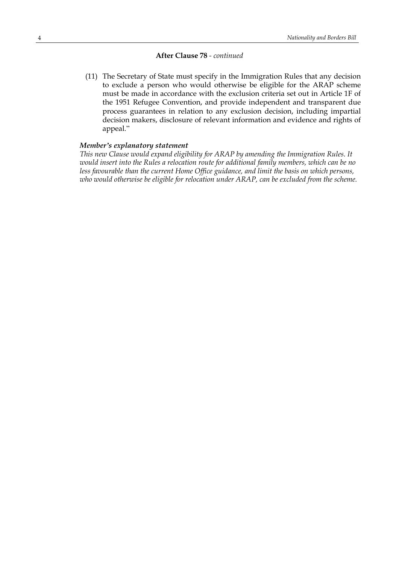### **After Clause 78** *- continued*

(11) The Secretary of State must specify in the Immigration Rules that any decision to exclude a person who would otherwise be eligible for the ARAP scheme must be made in accordance with the exclusion criteria set out in Article 1F of the 1951 Refugee Convention, and provide independent and transparent due process guarantees in relation to any exclusion decision, including impartial decision makers, disclosure of relevant information and evidence and rights of appeal."

#### *Member's explanatory statement*

*This new Clause would expand eligibility for ARAP by amending the Immigration Rules. It would insert into the Rules a relocation route for additional family members, which can be no less favourable than the current Home Office guidance, and limit the basis on which persons, who would otherwise be eligible for relocation under ARAP, can be excluded from the scheme.*